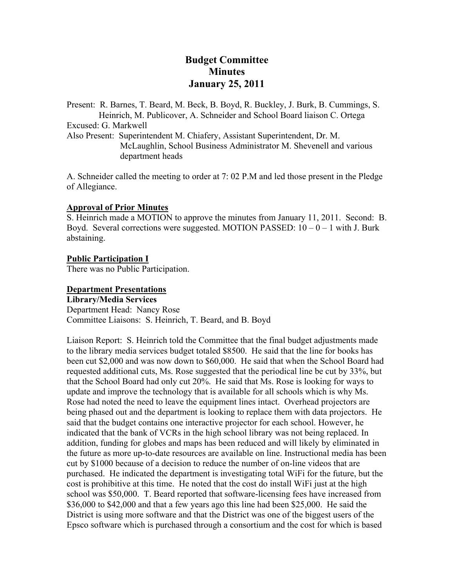# **Budget Committee Minutes January 25, 2011**

Present: R. Barnes, T. Beard, M. Beck, B. Boyd, R. Buckley, J. Burk, B. Cummings, S. Heinrich, M. Publicover, A. Schneider and School Board liaison C. Ortega Excused: G. Markwell

Also Present: Superintendent M. Chiafery, Assistant Superintendent, Dr. M. McLaughlin, School Business Administrator M. Shevenell and various department heads

A. Schneider called the meeting to order at 7: 02 P.M and led those present in the Pledge of Allegiance.

# **Approval of Prior Minutes**

S. Heinrich made a MOTION to approve the minutes from January 11, 2011. Second: B. Boyd. Several corrections were suggested. MOTION PASSED:  $10 - 0 - 1$  with J. Burk abstaining.

# **Public Participation I**

There was no Public Participation.

#### **Department Presentations**

**Library/Media Services**  Department Head: Nancy Rose Committee Liaisons: S. Heinrich, T. Beard, and B. Boyd

Liaison Report: S. Heinrich told the Committee that the final budget adjustments made to the library media services budget totaled \$8500. He said that the line for books has been cut \$2,000 and was now down to \$60,000. He said that when the School Board had requested additional cuts, Ms. Rose suggested that the periodical line be cut by 33%, but that the School Board had only cut 20%. He said that Ms. Rose is looking for ways to update and improve the technology that is available for all schools which is why Ms. Rose had noted the need to leave the equipment lines intact. Overhead projectors are being phased out and the department is looking to replace them with data projectors. He said that the budget contains one interactive projector for each school. However, he indicated that the bank of VCRs in the high school library was not being replaced. In addition, funding for globes and maps has been reduced and will likely by eliminated in the future as more up-to-date resources are available on line. Instructional media has been cut by \$1000 because of a decision to reduce the number of on-line videos that are purchased. He indicated the department is investigating total WiFi for the future, but the cost is prohibitive at this time. He noted that the cost do install WiFi just at the high school was \$50,000. T. Beard reported that software-licensing fees have increased from \$36,000 to \$42,000 and that a few years ago this line had been \$25,000. He said the District is using more software and that the District was one of the biggest users of the Epsco software which is purchased through a consortium and the cost for which is based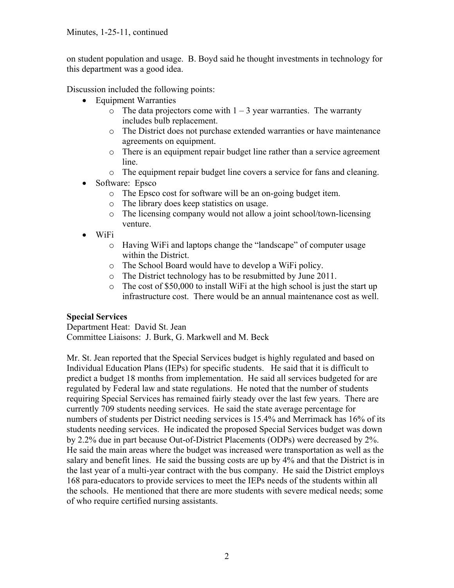on student population and usage. B. Boyd said he thought investments in technology for this department was a good idea.

Discussion included the following points:

- Equipment Warranties
	- $\circ$  The data projectors come with  $1 3$  year warranties. The warranty includes bulb replacement.
	- o The District does not purchase extended warranties or have maintenance agreements on equipment.
	- o There is an equipment repair budget line rather than a service agreement line.
	- o The equipment repair budget line covers a service for fans and cleaning.
- Software: Epsco
	- o The Epsco cost for software will be an on-going budget item.
	- o The library does keep statistics on usage.
	- o The licensing company would not allow a joint school/town-licensing venture.
- WiFi
	- o Having WiFi and laptops change the "landscape" of computer usage within the District.
	- o The School Board would have to develop a WiFi policy.
	- o The District technology has to be resubmitted by June 2011.
	- o The cost of \$50,000 to install WiFi at the high school is just the start up infrastructure cost. There would be an annual maintenance cost as well.

# **Special Services**

Department Heat: David St. Jean Committee Liaisons: J. Burk, G. Markwell and M. Beck

Mr. St. Jean reported that the Special Services budget is highly regulated and based on Individual Education Plans (IEPs) for specific students. He said that it is difficult to predict a budget 18 months from implementation. He said all services budgeted for are regulated by Federal law and state regulations. He noted that the number of students requiring Special Services has remained fairly steady over the last few years. There are currently 709 students needing services. He said the state average percentage for numbers of students per District needing services is 15.4% and Merrimack has 16% of its students needing services. He indicated the proposed Special Services budget was down by 2.2% due in part because Out-of-District Placements (ODPs) were decreased by 2%. He said the main areas where the budget was increased were transportation as well as the salary and benefit lines. He said the bussing costs are up by 4% and that the District is in the last year of a multi-year contract with the bus company. He said the District employs 168 para-educators to provide services to meet the IEPs needs of the students within all the schools. He mentioned that there are more students with severe medical needs; some of who require certified nursing assistants.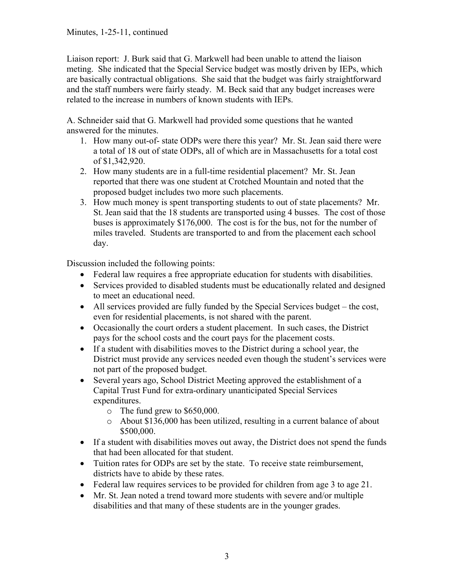#### Minutes, 1-25-11, continued

Liaison report: J. Burk said that G. Markwell had been unable to attend the liaison meting. She indicated that the Special Service budget was mostly driven by IEPs, which are basically contractual obligations. She said that the budget was fairly straightforward and the staff numbers were fairly steady. M. Beck said that any budget increases were related to the increase in numbers of known students with IEPs.

A. Schneider said that G. Markwell had provided some questions that he wanted answered for the minutes.

- 1. How many out-of- state ODPs were there this year? Mr. St. Jean said there were a total of 18 out of state ODPs, all of which are in Massachusetts for a total cost of \$1,342,920.
- 2. How many students are in a full-time residential placement? Mr. St. Jean reported that there was one student at Crotched Mountain and noted that the proposed budget includes two more such placements.
- 3. How much money is spent transporting students to out of state placements? Mr. St. Jean said that the 18 students are transported using 4 busses. The cost of those buses is approximately \$176,000. The cost is for the bus, not for the number of miles traveled. Students are transported to and from the placement each school day.

Discussion included the following points:

- Federal law requires a free appropriate education for students with disabilities.
- Services provided to disabled students must be educationally related and designed to meet an educational need.
- All services provided are fully funded by the Special Services budget the cost, even for residential placements, is not shared with the parent.
- Occasionally the court orders a student placement. In such cases, the District pays for the school costs and the court pays for the placement costs.
- If a student with disabilities moves to the District during a school year, the District must provide any services needed even though the student's services were not part of the proposed budget.
- Several years ago, School District Meeting approved the establishment of a Capital Trust Fund for extra-ordinary unanticipated Special Services expenditures.
	- o The fund grew to \$650,000.
	- o About \$136,000 has been utilized, resulting in a current balance of about \$500,000.
- If a student with disabilities moves out away, the District does not spend the funds that had been allocated for that student.
- Tuition rates for ODPs are set by the state. To receive state reimbursement, districts have to abide by these rates.
- Federal law requires services to be provided for children from age 3 to age 21.
- Mr. St. Jean noted a trend toward more students with severe and/or multiple disabilities and that many of these students are in the younger grades.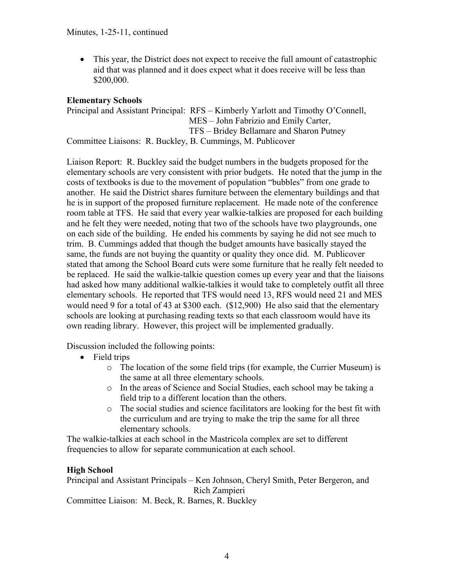• This year, the District does not expect to receive the full amount of catastrophic aid that was planned and it does expect what it does receive will be less than \$200,000.

# **Elementary Schools**

Principal and Assistant Principal: RFS – Kimberly Yarlott and Timothy O'Connell, MES – John Fabrizio and Emily Carter, TFS – Bridey Bellamare and Sharon Putney Committee Liaisons: R. Buckley, B. Cummings, M. Publicover

Liaison Report: R. Buckley said the budget numbers in the budgets proposed for the elementary schools are very consistent with prior budgets. He noted that the jump in the costs of textbooks is due to the movement of population "bubbles" from one grade to another. He said the District shares furniture between the elementary buildings and that he is in support of the proposed furniture replacement. He made note of the conference room table at TFS. He said that every year walkie-talkies are proposed for each building and he felt they were needed, noting that two of the schools have two playgrounds, one on each side of the building. He ended his comments by saying he did not see much to trim. B. Cummings added that though the budget amounts have basically stayed the same, the funds are not buying the quantity or quality they once did. M. Publicover stated that among the School Board cuts were some furniture that he really felt needed to be replaced. He said the walkie-talkie question comes up every year and that the liaisons had asked how many additional walkie-talkies it would take to completely outfit all three elementary schools. He reported that TFS would need 13, RFS would need 21 and MES would need 9 for a total of 43 at \$300 each. (\$12,900) He also said that the elementary schools are looking at purchasing reading texts so that each classroom would have its own reading library. However, this project will be implemented gradually.

Discussion included the following points:

- Field trips
	- o The location of the some field trips (for example, the Currier Museum) is the same at all three elementary schools.
	- o In the areas of Science and Social Studies, each school may be taking a field trip to a different location than the others.
	- o The social studies and science facilitators are looking for the best fit with the curriculum and are trying to make the trip the same for all three elementary schools.

The walkie-talkies at each school in the Mastricola complex are set to different frequencies to allow for separate communication at each school.

# **High School**

Principal and Assistant Principals – Ken Johnson, Cheryl Smith, Peter Bergeron, and Rich Zampieri

Committee Liaison: M. Beck, R. Barnes, R. Buckley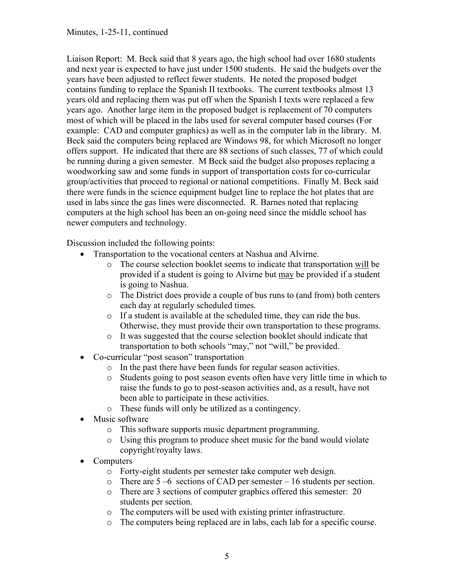Liaison Report: M. Beck said that 8 years ago, the high school had over 1680 students and next year is expected to have just under 1500 students. He said the budgets over the years have been adjusted to reflect fewer students. He noted the proposed budget contains funding to replace the Spanish II textbooks. The current textbooks almost 13 years old and replacing them was put off when the Spanish I texts were replaced a few years ago. Another large item in the proposed budget is replacement of 70 computers most of which will be placed in the labs used for several computer based courses (For example: CAD and computer graphics) as well as in the computer lab in the library. M. Beck said the computers being replaced are Windows 98, for which Microsoft no longer offers support. He indicated that there are 88 sections of such classes, 77 of which could be running during a given semester. M Beck said the budget also proposes replacing a woodworking saw and some funds in support of transportation costs for co-curricular group/activities that proceed to regional or national competitions. Finally M. Beck said there were funds in the science equipment budget line to replace the hot plates that are used in labs since the gas lines were disconnected. R. Barnes noted that replacing computers at the high school has been an on-going need since the middle school has newer computers and technology.

Discussion included the following points:

- Transportation to the vocational centers at Nashua and Alvirne.
	- o The course selection booklet seems to indicate that transportation will be provided if a student is going to Alvirne but may be provided if a student is going to Nashua.
	- o The District does provide a couple of bus runs to (and from) both centers each day at regularly scheduled times.
	- o If a student is available at the scheduled time, they can ride the bus. Otherwise, they must provide their own transportation to these programs.
	- o It was suggested that the course selection booklet should indicate that transportation to both schools "may," not "will," be provided.
- Co-curricular "post season" transportation
	- o In the past there have been funds for regular season activities.
	- o Students going to post season events often have very little time in which to raise the funds to go to post-season activities and, as a result, have not been able to participate in these activities.
	- o These funds will only be utilized as a contingency.
- Music software
	- o This software supports music department programming.
	- o Using this program to produce sheet music for the band would violate copyright/royalty laws.
- Computers
	- o Forty-eight students per semester take computer web design.
	- o There are 5 –6 sections of CAD per semester 16 students per section.
	- o There are 3 sections of computer graphics offered this semester: 20 students per section.
	- o The computers will be used with existing printer infrastructure.
	- o The computers being replaced are in labs, each lab for a specific course.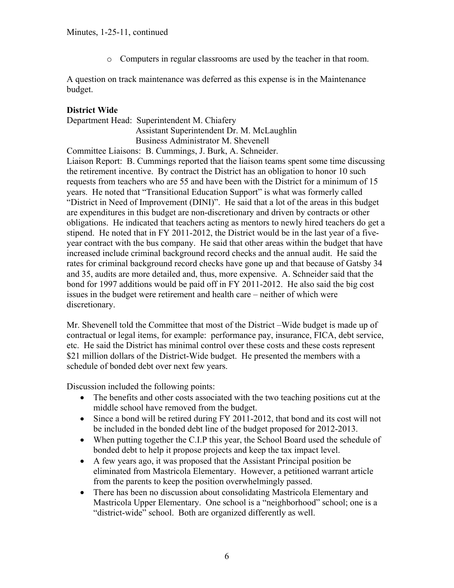o Computers in regular classrooms are used by the teacher in that room.

A question on track maintenance was deferred as this expense is in the Maintenance budget.

#### **District Wide**

Department Head: Superintendent M. Chiafery Assistant Superintendent Dr. M. McLaughlin Business Administrator M. Shevenell

Committee Liaisons: B. Cummings, J. Burk, A. Schneider. Liaison Report: B. Cummings reported that the liaison teams spent some time discussing the retirement incentive. By contract the District has an obligation to honor 10 such requests from teachers who are 55 and have been with the District for a minimum of 15 years. He noted that "Transitional Education Support" is what was formerly called

"District in Need of Improvement (DINI)". He said that a lot of the areas in this budget are expenditures in this budget are non-discretionary and driven by contracts or other obligations. He indicated that teachers acting as mentors to newly hired teachers do get a stipend. He noted that in FY 2011-2012, the District would be in the last year of a fiveyear contract with the bus company. He said that other areas within the budget that have increased include criminal background record checks and the annual audit. He said the rates for criminal background record checks have gone up and that because of Gatsby 34 and 35, audits are more detailed and, thus, more expensive. A. Schneider said that the bond for 1997 additions would be paid off in FY 2011-2012. He also said the big cost issues in the budget were retirement and health care – neither of which were discretionary.

Mr. Shevenell told the Committee that most of the District –Wide budget is made up of contractual or legal items, for example: performance pay, insurance, FICA, debt service, etc. He said the District has minimal control over these costs and these costs represent \$21 million dollars of the District-Wide budget. He presented the members with a schedule of bonded debt over next few years.

Discussion included the following points:

- The benefits and other costs associated with the two teaching positions cut at the middle school have removed from the budget.
- Since a bond will be retired during FY 2011-2012, that bond and its cost will not be included in the bonded debt line of the budget proposed for 2012-2013.
- When putting together the C.I.P this year, the School Board used the schedule of bonded debt to help it propose projects and keep the tax impact level.
- A few years ago, it was proposed that the Assistant Principal position be eliminated from Mastricola Elementary. However, a petitioned warrant article from the parents to keep the position overwhelmingly passed.
- There has been no discussion about consolidating Mastricola Elementary and Mastricola Upper Elementary. One school is a "neighborhood" school; one is a "district-wide" school. Both are organized differently as well.